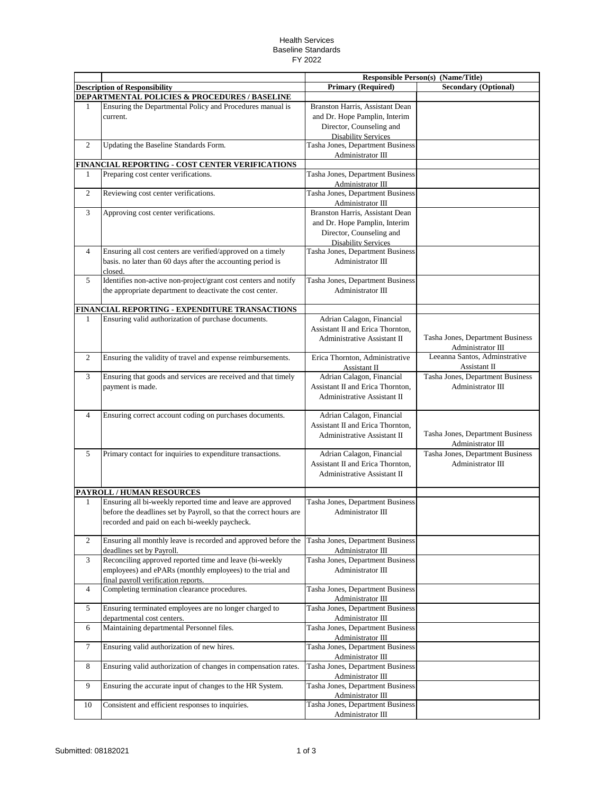## Health Services Baseline Standards FY 2022

|                |                                                                    |                                        | <b>Responsible Person(s) (Name/Title)</b> |
|----------------|--------------------------------------------------------------------|----------------------------------------|-------------------------------------------|
|                | <b>Description of Responsibility</b>                               | <b>Primary (Required)</b>              | <b>Secondary (Optional)</b>               |
|                | <b>DEPARTMENTAL POLICIES &amp; PROCEDURES / BASELINE</b>           |                                        |                                           |
| 1              | Ensuring the Departmental Policy and Procedures manual is          | <b>Branston Harris, Assistant Dean</b> |                                           |
|                | current.                                                           | and Dr. Hope Pamplin, Interim          |                                           |
|                |                                                                    | Director, Counseling and               |                                           |
|                |                                                                    | <b>Disability Services</b>             |                                           |
| $\overline{c}$ | Updating the Baseline Standards Form.                              | Tasha Jones, Department Business       |                                           |
|                |                                                                    | Administrator III                      |                                           |
|                | FINANCIAL REPORTING - COST CENTER VERIFICATIONS                    |                                        |                                           |
| 1              | Preparing cost center verifications.                               | Tasha Jones, Department Business       |                                           |
|                |                                                                    | Administrator III                      |                                           |
| $\mathfrak{2}$ | Reviewing cost center verifications.                               | Tasha Jones, Department Business       |                                           |
|                |                                                                    | Administrator III                      |                                           |
| 3              | Approving cost center verifications.                               | Branston Harris, Assistant Dean        |                                           |
|                |                                                                    | and Dr. Hope Pamplin, Interim          |                                           |
|                |                                                                    |                                        |                                           |
|                |                                                                    | Director, Counseling and               |                                           |
|                |                                                                    | <b>Disability Services</b>             |                                           |
| $\overline{4}$ | Ensuring all cost centers are verified/approved on a timely        | Tasha Jones, Department Business       |                                           |
|                | basis. no later than 60 days after the accounting period is        | Administrator III                      |                                           |
|                | closed.                                                            |                                        |                                           |
| 5              | Identifies non-active non-project/grant cost centers and notify    | Tasha Jones, Department Business       |                                           |
|                | the appropriate department to deactivate the cost center.          | Administrator III                      |                                           |
|                |                                                                    |                                        |                                           |
|                | FINANCIAL REPORTING - EXPENDITURE TRANSACTIONS                     |                                        |                                           |
| 1              | Ensuring valid authorization of purchase documents.                | Adrian Calagon, Financial              |                                           |
|                |                                                                    | Assistant II and Erica Thornton.       |                                           |
|                |                                                                    | Administrative Assistant II            | Tasha Jones, Department Business          |
|                |                                                                    |                                        | Administrator III                         |
| $\overline{2}$ | Ensuring the validity of travel and expense reimbursements.        | Erica Thornton, Administrative         | Leeanna Santos, Adminstrative             |
|                |                                                                    | Assistant II                           | Assistant II                              |
| 3              | Ensuring that goods and services are received and that timely      | Adrian Calagon, Financial              | Tasha Jones, Department Business          |
|                | payment is made.                                                   | Assistant II and Erica Thornton,       | Administrator III                         |
|                |                                                                    | Administrative Assistant II            |                                           |
|                |                                                                    |                                        |                                           |
| $\overline{4}$ | Ensuring correct account coding on purchases documents.            | Adrian Calagon, Financial              |                                           |
|                |                                                                    | Assistant II and Erica Thornton,       |                                           |
|                |                                                                    | Administrative Assistant II            | Tasha Jones, Department Business          |
|                |                                                                    |                                        | Administrator III                         |
| 5              | Primary contact for inquiries to expenditure transactions.         | Adrian Calagon, Financial              | Tasha Jones, Department Business          |
|                |                                                                    | Assistant II and Erica Thornton,       | Administrator III                         |
|                |                                                                    | Administrative Assistant II            |                                           |
|                |                                                                    |                                        |                                           |
|                | <b>PAYROLL / HUMAN RESOURCES</b>                                   |                                        |                                           |
| 1              | Ensuring all bi-weekly reported time and leave are approved        | Tasha Jones, Department Business       |                                           |
|                | before the deadlines set by Payroll, so that the correct hours are | Administrator III                      |                                           |
|                | recorded and paid on each bi-weekly paycheck.                      |                                        |                                           |
|                |                                                                    |                                        |                                           |
| $\overline{2}$ | Ensuring all monthly leave is recorded and approved before the     | Tasha Jones, Department Business       |                                           |
|                | deadlines set by Payroll.                                          | Administrator III                      |                                           |
| 3              | Reconciling approved reported time and leave (bi-weekly            | Tasha Jones, Department Business       |                                           |
|                | employees) and ePARs (monthly employees) to the trial and          | Administrator III                      |                                           |
|                | final payroll verification reports.                                |                                        |                                           |
| $\overline{4}$ | Completing termination clearance procedures.                       | Tasha Jones, Department Business       |                                           |
|                |                                                                    | Administrator III                      |                                           |
| 5              | Ensuring terminated employees are no longer charged to             | Tasha Jones, Department Business       |                                           |
|                | departmental cost centers.                                         | Administrator III                      |                                           |
| 6              | Maintaining departmental Personnel files.                          | Tasha Jones, Department Business       |                                           |
|                |                                                                    | Administrator III                      |                                           |
| $\tau$         | Ensuring valid authorization of new hires.                         | Tasha Jones, Department Business       |                                           |
|                |                                                                    | Administrator III                      |                                           |
| 8              |                                                                    |                                        |                                           |
|                | Ensuring valid authorization of changes in compensation rates.     | Tasha Jones, Department Business       |                                           |
|                |                                                                    | Administrator III                      |                                           |
| 9              | Ensuring the accurate input of changes to the HR System.           | Tasha Jones, Department Business       |                                           |
|                |                                                                    | Administrator III                      |                                           |
| 10             | Consistent and efficient responses to inquiries.                   | Tasha Jones, Department Business       |                                           |
|                |                                                                    | Administrator III                      |                                           |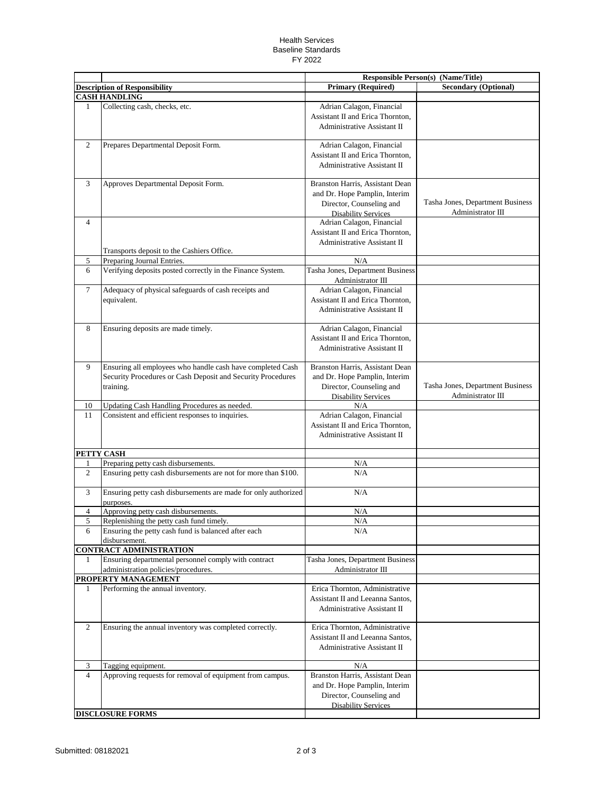## Health Services Baseline Standards FY 2022

|                |                                                                |                                    | <b>Responsible Person(s) (Name/Title)</b> |
|----------------|----------------------------------------------------------------|------------------------------------|-------------------------------------------|
|                | <b>Description of Responsibility</b>                           | <b>Primary (Required)</b>          | <b>Secondary (Optional)</b>               |
|                | <b>CASH HANDLING</b>                                           |                                    |                                           |
| 1              | Collecting cash, checks, etc.                                  | Adrian Calagon, Financial          |                                           |
|                |                                                                | Assistant II and Erica Thornton,   |                                           |
|                |                                                                | <b>Administrative Assistant II</b> |                                           |
|                |                                                                |                                    |                                           |
| 2              | Prepares Departmental Deposit Form.                            | Adrian Calagon, Financial          |                                           |
|                |                                                                | Assistant II and Erica Thornton,   |                                           |
|                |                                                                | Administrative Assistant II        |                                           |
|                |                                                                |                                    |                                           |
| 3              | Approves Departmental Deposit Form.                            | Branston Harris, Assistant Dean    |                                           |
|                |                                                                | and Dr. Hope Pamplin, Interim      |                                           |
|                |                                                                | Director, Counseling and           | Tasha Jones, Department Business          |
|                |                                                                | <b>Disability Services</b>         | Administrator III                         |
| $\overline{4}$ |                                                                | Adrian Calagon, Financial          |                                           |
|                |                                                                | Assistant II and Erica Thornton,   |                                           |
|                |                                                                | <b>Administrative Assistant II</b> |                                           |
|                | Transports deposit to the Cashiers Office.                     |                                    |                                           |
| 5              | Preparing Journal Entries.                                     | N/A                                |                                           |
| 6              | Verifying deposits posted correctly in the Finance System.     | Tasha Jones, Department Business   |                                           |
|                |                                                                | Administrator III                  |                                           |
| 7              | Adequacy of physical safeguards of cash receipts and           | Adrian Calagon, Financial          |                                           |
|                | equivalent.                                                    | Assistant II and Erica Thornton,   |                                           |
|                |                                                                | <b>Administrative Assistant II</b> |                                           |
|                |                                                                |                                    |                                           |
| 8              | Ensuring deposits are made timely.                             | Adrian Calagon, Financial          |                                           |
|                |                                                                | Assistant II and Erica Thornton,   |                                           |
|                |                                                                | Administrative Assistant II        |                                           |
|                |                                                                |                                    |                                           |
| 9              | Ensuring all employees who handle cash have completed Cash     | Branston Harris, Assistant Dean    |                                           |
|                | Security Procedures or Cash Deposit and Security Procedures    | and Dr. Hope Pamplin, Interim      |                                           |
|                | training.                                                      | Director, Counseling and           | Tasha Jones, Department Business          |
|                |                                                                | <b>Disability Services</b>         | Administrator III                         |
| 10<br>11       | Updating Cash Handling Procedures as needed.                   | N/A<br>Adrian Calagon, Financial   |                                           |
|                | Consistent and efficient responses to inquiries.               | Assistant II and Erica Thornton,   |                                           |
|                |                                                                | Administrative Assistant II        |                                           |
|                |                                                                |                                    |                                           |
|                | PETTY CASH                                                     |                                    |                                           |
| 1              | Preparing petty cash disbursements.                            | N/A                                |                                           |
| $\overline{c}$ | Ensuring petty cash disbursements are not for more than \$100. | N/A                                |                                           |
|                |                                                                |                                    |                                           |
| 3              | Ensuring petty cash disbursements are made for only authorized | N/A                                |                                           |
|                | purposes.                                                      |                                    |                                           |
| 4              | Approving petty cash disbursements.                            | N/A                                |                                           |
| 5              | Replenishing the petty cash fund timely.                       | N/A                                |                                           |
| 6              | Ensuring the petty cash fund is balanced after each            | N/A                                |                                           |
|                | disbursement.                                                  |                                    |                                           |
|                | <b>CONTRACT ADMINISTRATION</b>                                 |                                    |                                           |
| 1              | Ensuring departmental personnel comply with contract           | Tasha Jones, Department Business   |                                           |
|                | administration policies/procedures.                            | Administrator III                  |                                           |
|                | PROPERTY MANAGEMENT                                            |                                    |                                           |
| 1              | Performing the annual inventory.                               | Erica Thornton, Administrative     |                                           |
|                |                                                                | Assistant II and Leeanna Santos,   |                                           |
|                |                                                                | Administrative Assistant II        |                                           |
|                |                                                                |                                    |                                           |
| 2              | Ensuring the annual inventory was completed correctly.         | Erica Thornton, Administrative     |                                           |
|                |                                                                | Assistant II and Leeanna Santos,   |                                           |
|                |                                                                | Administrative Assistant II        |                                           |
|                |                                                                |                                    |                                           |
| 3              | Tagging equipment.                                             | N/A                                |                                           |
| $\overline{4}$ | Approving requests for removal of equipment from campus.       | Branston Harris, Assistant Dean    |                                           |
|                |                                                                | and Dr. Hope Pamplin, Interim      |                                           |
|                |                                                                | Director, Counseling and           |                                           |
|                |                                                                | <b>Disability Services</b>         |                                           |
|                | <b>DISCLOSURE FORMS</b>                                        |                                    |                                           |